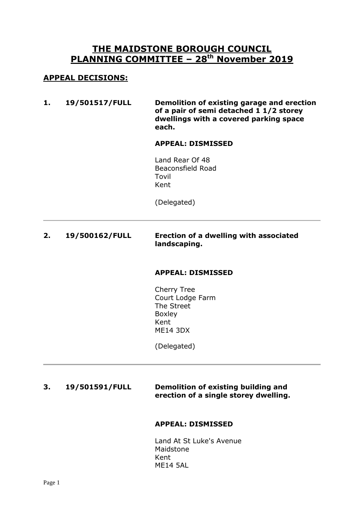# **THE MAIDSTONE BOROUGH COUNCIL PLANNING COMMITTEE – 28 th November 2019**

## **APPEAL DECISIONS:**

**1. 19/501517/FULL Demolition of existing garage and erection of a pair of semi detached 1 1/2 storey dwellings with a covered parking space each.**

#### **APPEAL: DISMISSED**

Land Rear Of 48 Beaconsfield Road Tovil Kent

(Delegated)

## **2. 19/500162/FULL Erection of a dwelling with associated landscaping.**

#### **APPEAL: DISMISSED**

Cherry Tree Court Lodge Farm The Street Boxley Kent ME14 3DX

(Delegated)

## **3. 19/501591/FULL Demolition of existing building and erection of a single storey dwelling.**

#### **APPEAL: DISMISSED**

Land At St Luke's Avenue Maidstone Kent ME14 5AL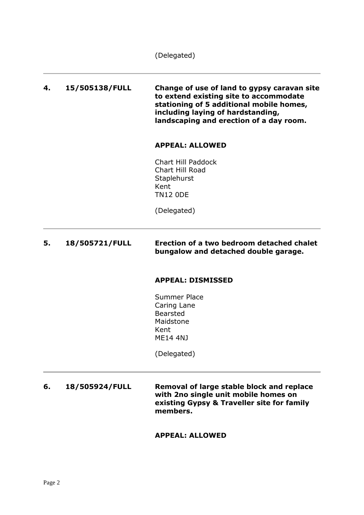(Delegated)

**4. 15/505138/FULL Change of use of land to gypsy caravan site to extend existing site to accommodate stationing of 5 additional mobile homes, including laying of hardstanding, landscaping and erection of a day room.**

#### **APPEAL: ALLOWED**

Chart Hill Paddock Chart Hill Road **Staplehurst** Kent TN12 0DE

(Delegated)

## **5. 18/505721/FULL Erection of a two bedroom detached chalet bungalow and detached double garage.**

#### **APPEAL: DISMISSED**

Summer Place Caring Lane Bearsted Maidstone Kent ME14 4NJ

(Delegated)

**6. 18/505924/FULL Removal of large stable block and replace with 2no single unit mobile homes on existing Gypsy & Traveller site for family members.**

#### **APPEAL: ALLOWED**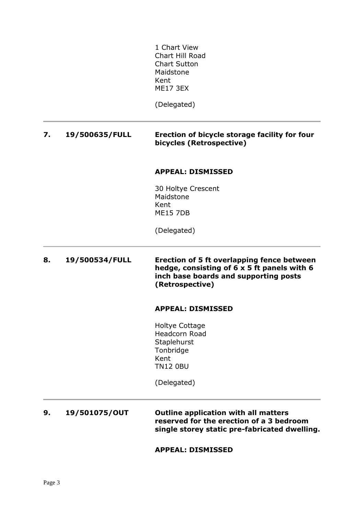1 Chart View Chart Hill Road Chart Sutton Maidstone Kent ME17 3EX

(Delegated)

## **7. 19/500635/FULL Erection of bicycle storage facility for four bicycles (Retrospective)**

#### **APPEAL: DISMISSED**

30 Holtye Crescent Maidstone Kent ME15 7DB

(Delegated)

**8. 19/500534/FULL Erection of 5 ft overlapping fence between hedge, consisting of 6 x 5 ft panels with 6 inch base boards and supporting posts (Retrospective)**

#### **APPEAL: DISMISSED**

Holtye Cottage Headcorn Road **Staplehurst** Tonbridge Kent TN12 0BU

(Delegated)

**9. 19/501075/OUT Outline application with all matters reserved for the erection of a 3 bedroom single storey static pre-fabricated dwelling.**

**APPEAL: DISMISSED**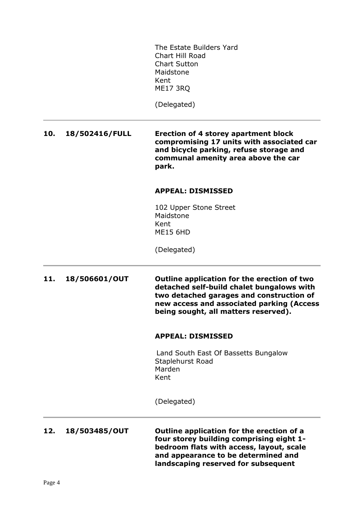The Estate Builders Yard Chart Hill Road Chart Sutton Maidstone Kent ME17 3RQ

(Delegated)

**10. 18/502416/FULL Erection of 4 storey apartment block compromising 17 units with associated car and bicycle parking, refuse storage and communal amenity area above the car park.**

#### **APPEAL: DISMISSED**

102 Upper Stone Street Maidstone Kent ME15 6HD

(Delegated)

**11. 18/506601/OUT Outline application for the erection of two detached self-build chalet bungalows with two detached garages and construction of new access and associated parking (Access being sought, all matters reserved).**

#### **APPEAL: DISMISSED**

Land South East Of Bassetts Bungalow Staplehurst Road Marden Kent

(Delegated)

**12. 18/503485/OUT Outline application for the erection of a four storey building comprising eight 1 bedroom flats with access, layout, scale and appearance to be determined and landscaping reserved for subsequent**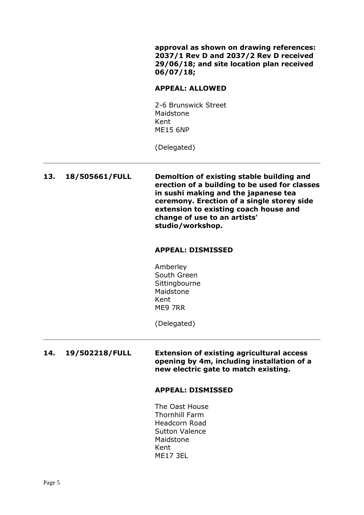**approval as shown on drawing references: 2037/1 Rev D and 2037/2 Rev D received 29/06/18; and site location plan received 06/07/18;**

#### **APPEAL: ALLOWED**

2-6 Brunswick Street Maidstone Kent ME15 6NP

(Delegated)

**13. 18/505661/FULL Demoltion of existing stable building and erection of a building to be used for classes in sushi making and the japanese tea ceremony. Erection of a single storey side extension to existing coach house and change of use to an artists' studio/workshop.**

#### **APPEAL: DISMISSED**

Amberley South Green Sittingbourne Maidstone Kent ME9 7RR

(Delegated)

**14. 19/502218/FULL Extension of existing agricultural access opening by 4m, including installation of a new electric gate to match existing.**

#### **APPEAL: DISMISSED**

The Oast House Thornhill Farm Headcorn Road Sutton Valence Maidstone Kent ME17 3EL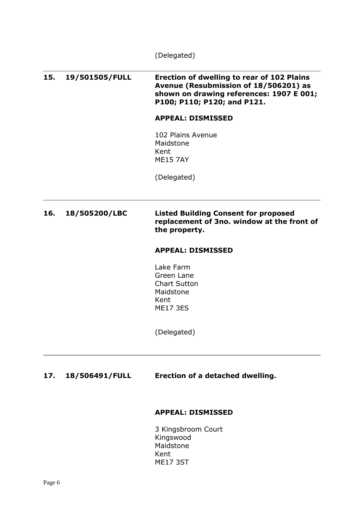(Delegated)

**15. 19/501505/FULL Erection of dwelling to rear of 102 Plains Avenue (Resubmission of 18/506201) as shown on drawing references: 1907 E 001; P100; P110; P120; and P121. APPEAL: DISMISSED** 102 Plains Avenue Maidstone Kent ME15 7AY (Delegated) **16. 18/505200/LBC Listed Building Consent for proposed replacement of 3no. window at the front of the property. APPEAL: DISMISSED** Lake Farm Green Lane Chart Sutton Maidstone Kent ME17 3ES (Delegated) **17. 18/506491/FULL Erection of a detached dwelling.**

#### **APPEAL: DISMISSED**

3 Kingsbroom Court Kingswood Maidstone Kent ME17 3ST